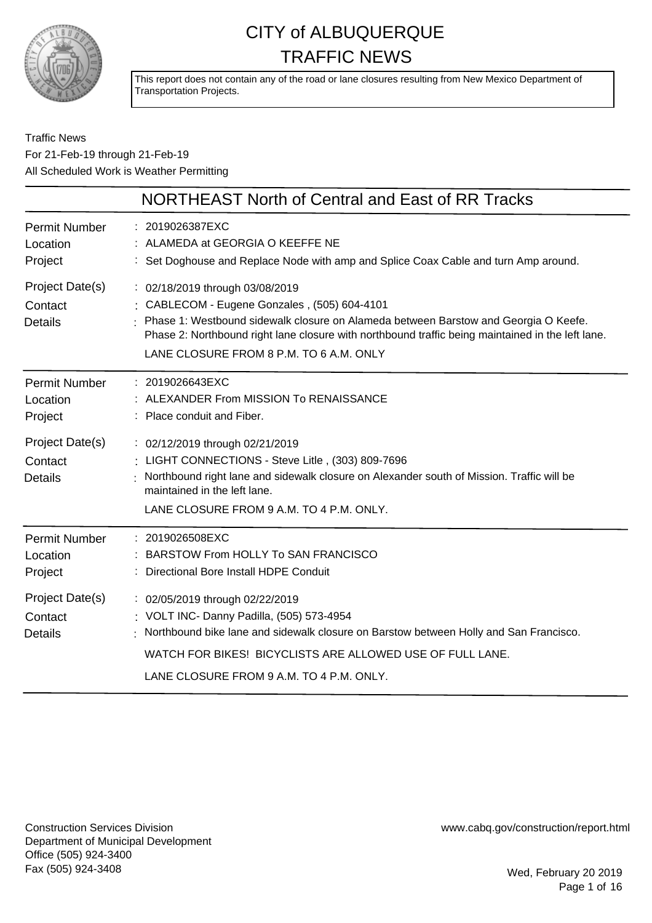

This report does not contain any of the road or lane closures resulting from New Mexico Department of Transportation Projects.

#### Traffic News For 21-Feb-19 through 21-Feb-19 All Scheduled Work is Weather Permitting

|                                              | NORTHEAST North of Central and East of RR Tracks                                                                                                                                                                                                                                                                         |
|----------------------------------------------|--------------------------------------------------------------------------------------------------------------------------------------------------------------------------------------------------------------------------------------------------------------------------------------------------------------------------|
| <b>Permit Number</b><br>Location<br>Project  | : 2019026387EXC<br>: ALAMEDA at GEORGIA O KEEFFE NE<br>: Set Doghouse and Replace Node with amp and Splice Coax Cable and turn Amp around.                                                                                                                                                                               |
| Project Date(s)<br>Contact<br><b>Details</b> | : 02/18/2019 through 03/08/2019<br>: CABLECOM - Eugene Gonzales, (505) 604-4101<br>: Phase 1: Westbound sidewalk closure on Alameda between Barstow and Georgia O Keefe.<br>Phase 2: Northbound right lane closure with northbound traffic being maintained in the left lane.<br>LANE CLOSURE FROM 8 P.M. TO 6 A.M. ONLY |
| <b>Permit Number</b><br>Location<br>Project  | : 2019026643EXC<br>: ALEXANDER From MISSION To RENAISSANCE<br>: Place conduit and Fiber.                                                                                                                                                                                                                                 |
| Project Date(s)<br>Contact<br><b>Details</b> | : 02/12/2019 through 02/21/2019<br>: LIGHT CONNECTIONS - Steve Litle, (303) 809-7696<br>Northbound right lane and sidewalk closure on Alexander south of Mission. Traffic will be<br>maintained in the left lane.<br>LANE CLOSURE FROM 9 A.M. TO 4 P.M. ONLY.                                                            |
| <b>Permit Number</b><br>Location<br>Project  | : 2019026508EXC<br>: BARSTOW From HOLLY To SAN FRANCISCO<br>Directional Bore Install HDPE Conduit                                                                                                                                                                                                                        |
| Project Date(s)<br>Contact<br><b>Details</b> | : 02/05/2019 through 02/22/2019<br>: VOLT INC- Danny Padilla, (505) 573-4954<br>Northbound bike lane and sidewalk closure on Barstow between Holly and San Francisco.<br>WATCH FOR BIKES! BICYCLISTS ARE ALLOWED USE OF FULL LANE.<br>LANE CLOSURE FROM 9 A.M. TO 4 P.M. ONLY.                                           |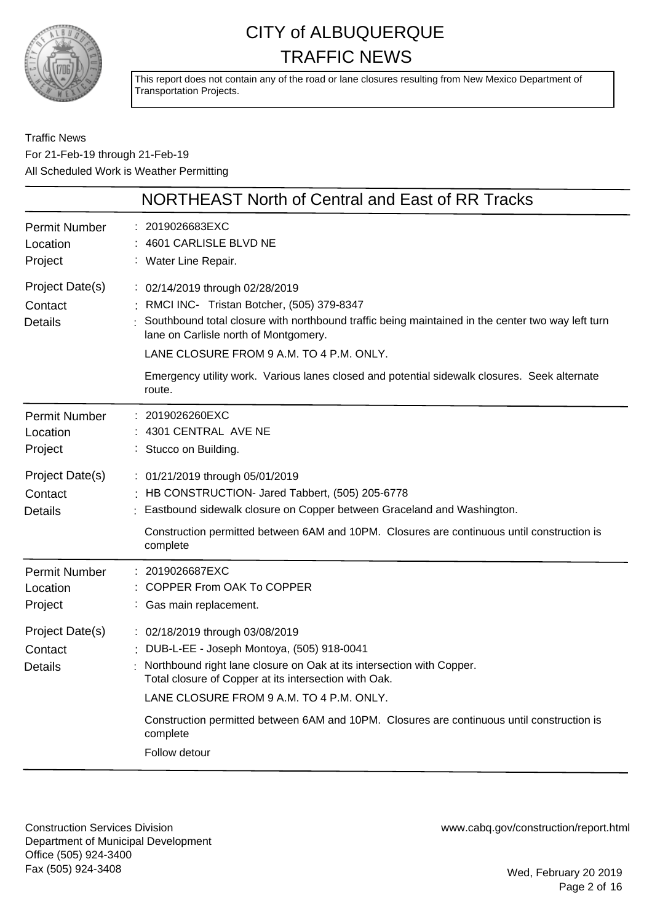

This report does not contain any of the road or lane closures resulting from New Mexico Department of Transportation Projects.

Traffic News For 21-Feb-19 through 21-Feb-19 All Scheduled Work is Weather Permitting

|                                              | <b>NORTHEAST North of Central and East of RR Tracks</b>                                                                                                                                                                                                                                                                                                                            |
|----------------------------------------------|------------------------------------------------------------------------------------------------------------------------------------------------------------------------------------------------------------------------------------------------------------------------------------------------------------------------------------------------------------------------------------|
| <b>Permit Number</b><br>Location<br>Project  | : 2019026683EXC<br>4601 CARLISLE BLVD NE<br>: Water Line Repair.                                                                                                                                                                                                                                                                                                                   |
| Project Date(s)<br>Contact<br><b>Details</b> | : 02/14/2019 through 02/28/2019<br>: RMCI INC- Tristan Botcher, (505) 379-8347<br>Southbound total closure with northbound traffic being maintained in the center two way left turn<br>lane on Carlisle north of Montgomery.<br>LANE CLOSURE FROM 9 A.M. TO 4 P.M. ONLY.<br>Emergency utility work. Various lanes closed and potential sidewalk closures. Seek alternate<br>route. |
| <b>Permit Number</b><br>Location<br>Project  | 2019026260EXC<br>$: 4301$ CENTRAL AVE NE<br>: Stucco on Building.                                                                                                                                                                                                                                                                                                                  |
| Project Date(s)<br>Contact<br><b>Details</b> | : 01/21/2019 through 05/01/2019<br>: HB CONSTRUCTION- Jared Tabbert, (505) 205-6778<br>Eastbound sidewalk closure on Copper between Graceland and Washington.<br>Construction permitted between 6AM and 10PM. Closures are continuous until construction is<br>complete                                                                                                            |
| <b>Permit Number</b><br>Location<br>Project  | : 2019026687EXC<br>: COPPER From OAK To COPPER<br>: Gas main replacement.                                                                                                                                                                                                                                                                                                          |
| Project Date(s)<br>Contact<br><b>Details</b> | : 02/18/2019 through 03/08/2019<br>: DUB-L-EE - Joseph Montoya, (505) 918-0041<br>Northbound right lane closure on Oak at its intersection with Copper.<br>Total closure of Copper at its intersection with Oak.<br>LANE CLOSURE FROM 9 A.M. TO 4 P.M. ONLY.<br>Construction permitted between 6AM and 10PM. Closures are continuous until construction is                         |
|                                              | complete<br>Follow detour                                                                                                                                                                                                                                                                                                                                                          |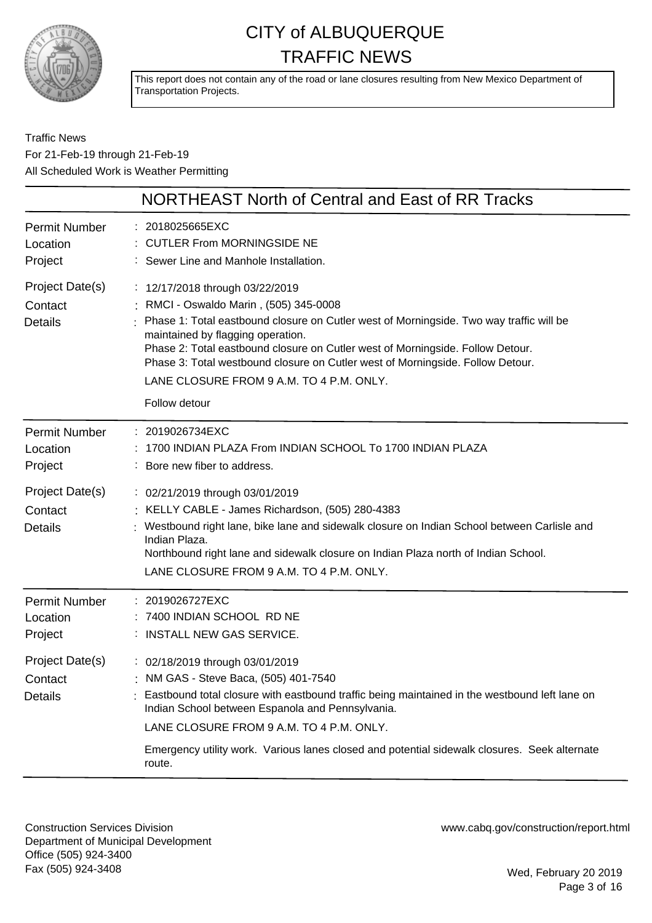

This report does not contain any of the road or lane closures resulting from New Mexico Department of Transportation Projects.

#### Traffic News For 21-Feb-19 through 21-Feb-19 All Scheduled Work is Weather Permitting

|                                              | NORTHEAST North of Central and East of RR Tracks                                                                                                                                                                                                                                                                                                                                                                                           |
|----------------------------------------------|--------------------------------------------------------------------------------------------------------------------------------------------------------------------------------------------------------------------------------------------------------------------------------------------------------------------------------------------------------------------------------------------------------------------------------------------|
| <b>Permit Number</b><br>Location<br>Project  | : 2018025665EXC<br>: CUTLER From MORNINGSIDE NE<br>: Sewer Line and Manhole Installation.                                                                                                                                                                                                                                                                                                                                                  |
| Project Date(s)<br>Contact<br><b>Details</b> | : 12/17/2018 through 03/22/2019<br>: RMCI - Oswaldo Marin, (505) 345-0008<br>Phase 1: Total eastbound closure on Cutler west of Morningside. Two way traffic will be<br>maintained by flagging operation.<br>Phase 2: Total eastbound closure on Cutler west of Morningside. Follow Detour.<br>Phase 3: Total westbound closure on Cutler west of Morningside. Follow Detour.<br>LANE CLOSURE FROM 9 A.M. TO 4 P.M. ONLY.<br>Follow detour |
| <b>Permit Number</b><br>Location<br>Project  | : 2019026734EXC<br>1700 INDIAN PLAZA From INDIAN SCHOOL To 1700 INDIAN PLAZA<br>: Bore new fiber to address.                                                                                                                                                                                                                                                                                                                               |
| Project Date(s)<br>Contact<br><b>Details</b> | : 02/21/2019 through 03/01/2019<br>: KELLY CABLE - James Richardson, (505) 280-4383<br>Westbound right lane, bike lane and sidewalk closure on Indian School between Carlisle and<br>Indian Plaza.<br>Northbound right lane and sidewalk closure on Indian Plaza north of Indian School.<br>LANE CLOSURE FROM 9 A.M. TO 4 P.M. ONLY.                                                                                                       |
| <b>Permit Number</b><br>Location<br>Project  | : 2019026727EXC<br>7400 INDIAN SCHOOL RD NE<br>: INSTALL NEW GAS SERVICE.                                                                                                                                                                                                                                                                                                                                                                  |
| Project Date(s)<br>Contact<br><b>Details</b> | : 02/18/2019 through 03/01/2019<br>: NM GAS - Steve Baca, (505) 401-7540<br>Eastbound total closure with eastbound traffic being maintained in the westbound left lane on<br>Indian School between Espanola and Pennsylvania.<br>LANE CLOSURE FROM 9 A.M. TO 4 P.M. ONLY.<br>Emergency utility work. Various lanes closed and potential sidewalk closures. Seek alternate<br>route.                                                        |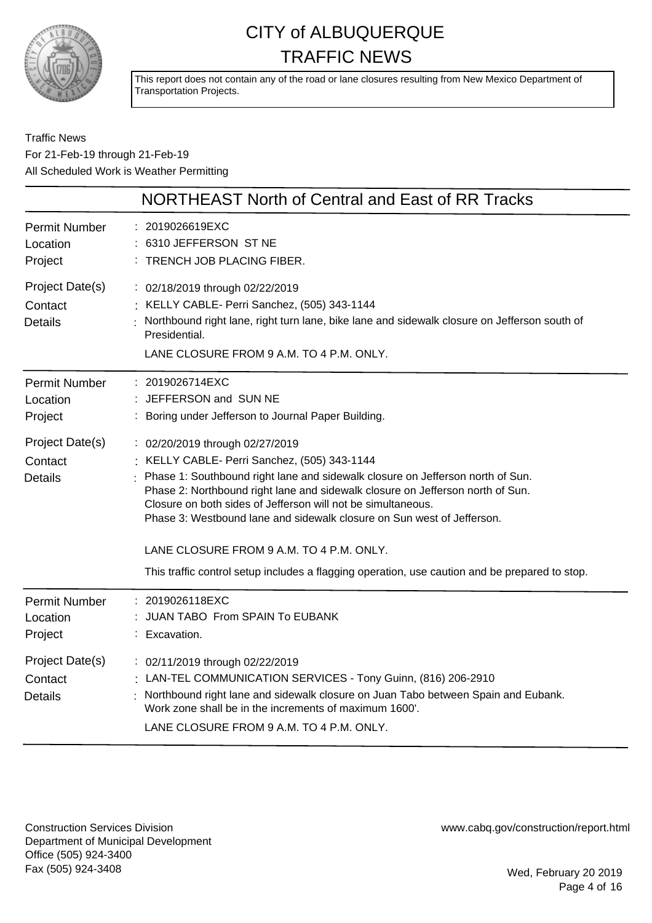

This report does not contain any of the road or lane closures resulting from New Mexico Department of Transportation Projects.

Traffic News For 21-Feb-19 through 21-Feb-19 All Scheduled Work is Weather Permitting

|                                              | NORTHEAST North of Central and East of RR Tracks                                                                                                                                                                                                                                                                                                                                                                                                                                                                                              |
|----------------------------------------------|-----------------------------------------------------------------------------------------------------------------------------------------------------------------------------------------------------------------------------------------------------------------------------------------------------------------------------------------------------------------------------------------------------------------------------------------------------------------------------------------------------------------------------------------------|
| <b>Permit Number</b><br>Location<br>Project  | : 2019026619EXC<br>: 6310 JEFFERSON ST NE<br>: TRENCH JOB PLACING FIBER.                                                                                                                                                                                                                                                                                                                                                                                                                                                                      |
| Project Date(s)<br>Contact<br><b>Details</b> | : 02/18/2019 through 02/22/2019<br>: KELLY CABLE- Perri Sanchez, (505) 343-1144<br>Northbound right lane, right turn lane, bike lane and sidewalk closure on Jefferson south of<br>Presidential.<br>LANE CLOSURE FROM 9 A.M. TO 4 P.M. ONLY.                                                                                                                                                                                                                                                                                                  |
| <b>Permit Number</b><br>Location<br>Project  | : 2019026714EXC<br>: JEFFERSON and SUN NE<br>: Boring under Jefferson to Journal Paper Building.                                                                                                                                                                                                                                                                                                                                                                                                                                              |
| Project Date(s)<br>Contact<br><b>Details</b> | : 02/20/2019 through 02/27/2019<br>: KELLY CABLE- Perri Sanchez, (505) 343-1144<br>: Phase 1: Southbound right lane and sidewalk closure on Jefferson north of Sun.<br>Phase 2: Northbound right lane and sidewalk closure on Jefferson north of Sun.<br>Closure on both sides of Jefferson will not be simultaneous.<br>Phase 3: Westbound lane and sidewalk closure on Sun west of Jefferson.<br>LANE CLOSURE FROM 9 A.M. TO 4 P.M. ONLY.<br>This traffic control setup includes a flagging operation, use caution and be prepared to stop. |
| <b>Permit Number</b><br>Location<br>Project  | : 2019026118EXC<br>: JUAN TABO From SPAIN To EUBANK<br>: Excavation.                                                                                                                                                                                                                                                                                                                                                                                                                                                                          |
| Project Date(s)<br>Contact<br><b>Details</b> | : 02/11/2019 through 02/22/2019<br>: LAN-TEL COMMUNICATION SERVICES - Tony Guinn, (816) 206-2910<br>Northbound right lane and sidewalk closure on Juan Tabo between Spain and Eubank.<br>Work zone shall be in the increments of maximum 1600'.<br>LANE CLOSURE FROM 9 A.M. TO 4 P.M. ONLY.                                                                                                                                                                                                                                                   |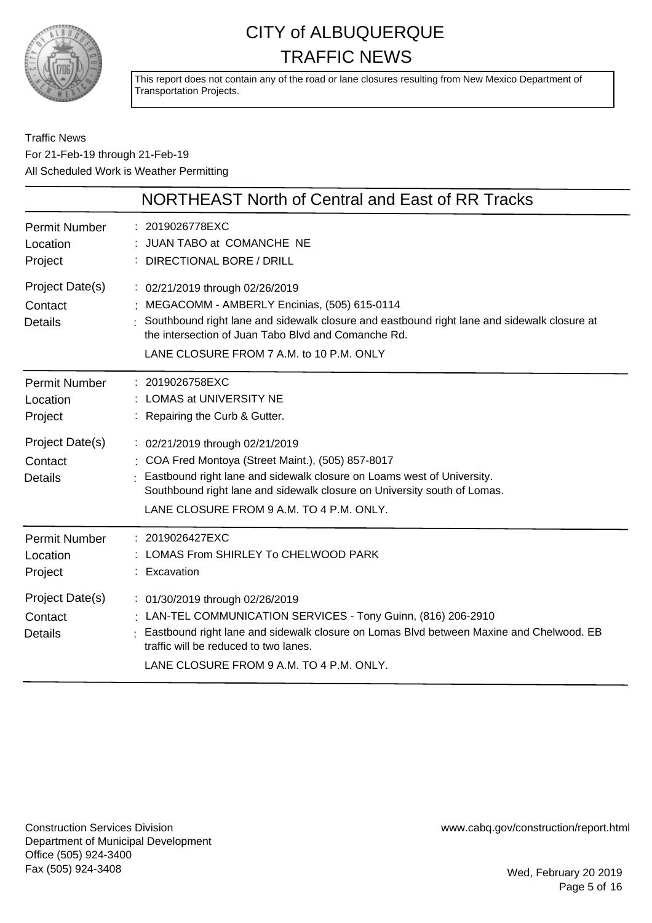

This report does not contain any of the road or lane closures resulting from New Mexico Department of Transportation Projects.

#### Traffic News For 21-Feb-19 through 21-Feb-19 All Scheduled Work is Weather Permitting

|                                              | NORTHEAST North of Central and East of RR Tracks                                                                                                                                                                                                                                        |
|----------------------------------------------|-----------------------------------------------------------------------------------------------------------------------------------------------------------------------------------------------------------------------------------------------------------------------------------------|
| <b>Permit Number</b><br>Location<br>Project  | : 2019026778EXC<br>JUAN TABO at COMANCHE NE<br>: DIRECTIONAL BORE / DRILL                                                                                                                                                                                                               |
| Project Date(s)<br>Contact<br><b>Details</b> | : 02/21/2019 through 02/26/2019<br>: MEGACOMM - AMBERLY Encinias, (505) 615-0114<br>: Southbound right lane and sidewalk closure and eastbound right lane and sidewalk closure at<br>the intersection of Juan Tabo Blyd and Comanche Rd.<br>LANE CLOSURE FROM 7 A.M. to 10 P.M. ONLY    |
| <b>Permit Number</b><br>Location<br>Project  | : 2019026758EXC<br>: LOMAS at UNIVERSITY NE<br>: Repairing the Curb & Gutter.                                                                                                                                                                                                           |
| Project Date(s)<br>Contact<br><b>Details</b> | : 02/21/2019 through 02/21/2019<br>: COA Fred Montoya (Street Maint.), (505) 857-8017<br>Eastbound right lane and sidewalk closure on Loams west of University.<br>Southbound right lane and sidewalk closure on University south of Lomas.<br>LANE CLOSURE FROM 9 A.M. TO 4 P.M. ONLY. |
| <b>Permit Number</b><br>Location<br>Project  | : 2019026427EXC<br>LOMAS From SHIRLEY To CHELWOOD PARK<br>: Excavation                                                                                                                                                                                                                  |
| Project Date(s)<br>Contact<br><b>Details</b> | : 01/30/2019 through 02/26/2019<br>: LAN-TEL COMMUNICATION SERVICES - Tony Guinn, (816) 206-2910<br>: Eastbound right lane and sidewalk closure on Lomas Blvd between Maxine and Chelwood. EB<br>traffic will be reduced to two lanes.<br>LANE CLOSURE FROM 9 A.M. TO 4 P.M. ONLY.      |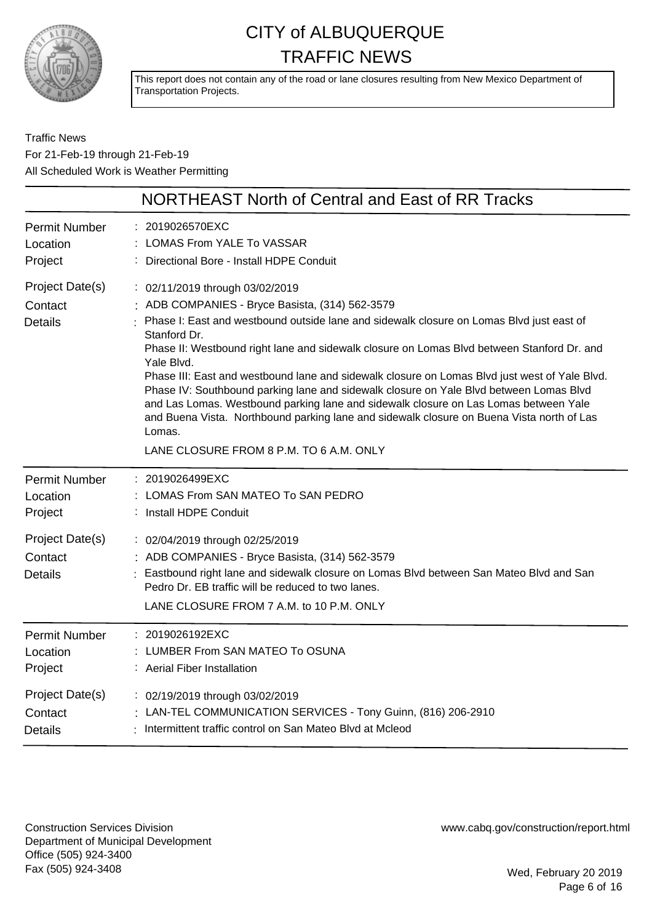

This report does not contain any of the road or lane closures resulting from New Mexico Department of Transportation Projects.

Traffic News For 21-Feb-19 through 21-Feb-19 All Scheduled Work is Weather Permitting

|                                              | NORTHEAST North of Central and East of RR Tracks                                                                                                                                                                                                                                                                                                                                                                                                                                                                                                                                                                                                                                                                                                  |
|----------------------------------------------|---------------------------------------------------------------------------------------------------------------------------------------------------------------------------------------------------------------------------------------------------------------------------------------------------------------------------------------------------------------------------------------------------------------------------------------------------------------------------------------------------------------------------------------------------------------------------------------------------------------------------------------------------------------------------------------------------------------------------------------------------|
| <b>Permit Number</b>                         | : 2019026570EXC                                                                                                                                                                                                                                                                                                                                                                                                                                                                                                                                                                                                                                                                                                                                   |
| Location                                     | LOMAS From YALE To VASSAR                                                                                                                                                                                                                                                                                                                                                                                                                                                                                                                                                                                                                                                                                                                         |
| Project                                      | : Directional Bore - Install HDPE Conduit                                                                                                                                                                                                                                                                                                                                                                                                                                                                                                                                                                                                                                                                                                         |
| Project Date(s)<br>Contact<br><b>Details</b> | : 02/11/2019 through 03/02/2019<br>: ADB COMPANIES - Bryce Basista, (314) 562-3579<br>: Phase I: East and westbound outside lane and sidewalk closure on Lomas Blvd just east of<br>Stanford Dr.<br>Phase II: Westbound right lane and sidewalk closure on Lomas Blvd between Stanford Dr. and<br>Yale Blvd.<br>Phase III: East and westbound lane and sidewalk closure on Lomas Blvd just west of Yale Blvd.<br>Phase IV: Southbound parking lane and sidewalk closure on Yale Blvd between Lomas Blvd<br>and Las Lomas. Westbound parking lane and sidewalk closure on Las Lomas between Yale<br>and Buena Vista. Northbound parking lane and sidewalk closure on Buena Vista north of Las<br>Lomas.<br>LANE CLOSURE FROM 8 P.M. TO 6 A.M. ONLY |
| <b>Permit Number</b>                         | : 2019026499EXC                                                                                                                                                                                                                                                                                                                                                                                                                                                                                                                                                                                                                                                                                                                                   |
| Location                                     | LOMAS From SAN MATEO To SAN PEDRO                                                                                                                                                                                                                                                                                                                                                                                                                                                                                                                                                                                                                                                                                                                 |
| Project                                      | : Install HDPE Conduit                                                                                                                                                                                                                                                                                                                                                                                                                                                                                                                                                                                                                                                                                                                            |
| Project Date(s)<br>Contact<br><b>Details</b> | : 02/04/2019 through 02/25/2019<br>: ADB COMPANIES - Bryce Basista, (314) 562-3579<br>: Eastbound right lane and sidewalk closure on Lomas Blvd between San Mateo Blvd and San<br>Pedro Dr. EB traffic will be reduced to two lanes.<br>LANE CLOSURE FROM 7 A.M. to 10 P.M. ONLY                                                                                                                                                                                                                                                                                                                                                                                                                                                                  |
| <b>Permit Number</b>                         | : 2019026192EXC                                                                                                                                                                                                                                                                                                                                                                                                                                                                                                                                                                                                                                                                                                                                   |
| Location                                     | : LUMBER From SAN MATEO To OSUNA                                                                                                                                                                                                                                                                                                                                                                                                                                                                                                                                                                                                                                                                                                                  |
| Project                                      | : Aerial Fiber Installation                                                                                                                                                                                                                                                                                                                                                                                                                                                                                                                                                                                                                                                                                                                       |
| Project Date(s)                              | : 02/19/2019 through 03/02/2019                                                                                                                                                                                                                                                                                                                                                                                                                                                                                                                                                                                                                                                                                                                   |
| Contact                                      | : LAN-TEL COMMUNICATION SERVICES - Tony Guinn, (816) 206-2910                                                                                                                                                                                                                                                                                                                                                                                                                                                                                                                                                                                                                                                                                     |
| <b>Details</b>                               | : Intermittent traffic control on San Mateo Blvd at Mcleod                                                                                                                                                                                                                                                                                                                                                                                                                                                                                                                                                                                                                                                                                        |

Construction Services Division Department of Municipal Development Office (505) 924-3400 Fax (505) 924-3408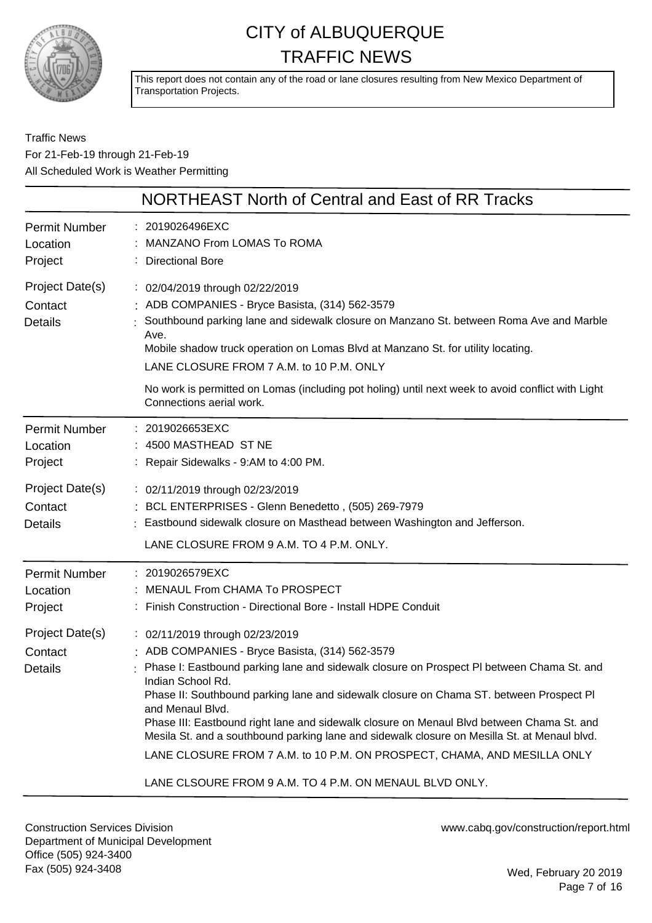

This report does not contain any of the road or lane closures resulting from New Mexico Department of Transportation Projects.

Traffic News For 21-Feb-19 through 21-Feb-19 All Scheduled Work is Weather Permitting

|                                              | NORTHEAST North of Central and East of RR Tracks                                                                                                                                                                                                                                                                                                                                                                                                                                                                                                                                                                                                        |
|----------------------------------------------|---------------------------------------------------------------------------------------------------------------------------------------------------------------------------------------------------------------------------------------------------------------------------------------------------------------------------------------------------------------------------------------------------------------------------------------------------------------------------------------------------------------------------------------------------------------------------------------------------------------------------------------------------------|
| <b>Permit Number</b><br>Location<br>Project  | : 2019026496EXC<br>MANZANO From LOMAS To ROMA<br>: Directional Bore                                                                                                                                                                                                                                                                                                                                                                                                                                                                                                                                                                                     |
| Project Date(s)<br>Contact<br><b>Details</b> | : 02/04/2019 through 02/22/2019<br>: ADB COMPANIES - Bryce Basista, (314) 562-3579<br>Southbound parking lane and sidewalk closure on Manzano St. between Roma Ave and Marble<br>Ave.<br>Mobile shadow truck operation on Lomas Blvd at Manzano St. for utility locating.<br>LANE CLOSURE FROM 7 A.M. to 10 P.M. ONLY                                                                                                                                                                                                                                                                                                                                   |
|                                              | No work is permitted on Lomas (including pot holing) until next week to avoid conflict with Light<br>Connections aerial work.                                                                                                                                                                                                                                                                                                                                                                                                                                                                                                                           |
| <b>Permit Number</b><br>Location<br>Project  | 2019026653EXC<br>: 4500 MASTHEAD ST NE<br>: Repair Sidewalks - 9:AM to 4:00 PM.                                                                                                                                                                                                                                                                                                                                                                                                                                                                                                                                                                         |
| Project Date(s)<br>Contact<br><b>Details</b> | : 02/11/2019 through 02/23/2019<br>: BCL ENTERPRISES - Glenn Benedetto, (505) 269-7979<br>Eastbound sidewalk closure on Masthead between Washington and Jefferson.<br>LANE CLOSURE FROM 9 A.M. TO 4 P.M. ONLY.                                                                                                                                                                                                                                                                                                                                                                                                                                          |
| <b>Permit Number</b><br>Location<br>Project  | : 2019026579EXC<br>MENAUL From CHAMA To PROSPECT<br>: Finish Construction - Directional Bore - Install HDPE Conduit                                                                                                                                                                                                                                                                                                                                                                                                                                                                                                                                     |
| Project Date(s)<br>Contact<br><b>Details</b> | : 02/11/2019 through 02/23/2019<br>: ADB COMPANIES - Bryce Basista, (314) 562-3579<br>Phase I: Eastbound parking lane and sidewalk closure on Prospect PI between Chama St. and<br>Indian School Rd.<br>Phase II: Southbound parking lane and sidewalk closure on Chama ST. between Prospect Pl<br>and Menaul Blvd.<br>Phase III: Eastbound right lane and sidewalk closure on Menaul Blvd between Chama St. and<br>Mesila St. and a southbound parking lane and sidewalk closure on Mesilla St. at Menaul blvd.<br>LANE CLOSURE FROM 7 A.M. to 10 P.M. ON PROSPECT, CHAMA, AND MESILLA ONLY<br>LANE CLSOURE FROM 9 A.M. TO 4 P.M. ON MENAUL BLVD ONLY. |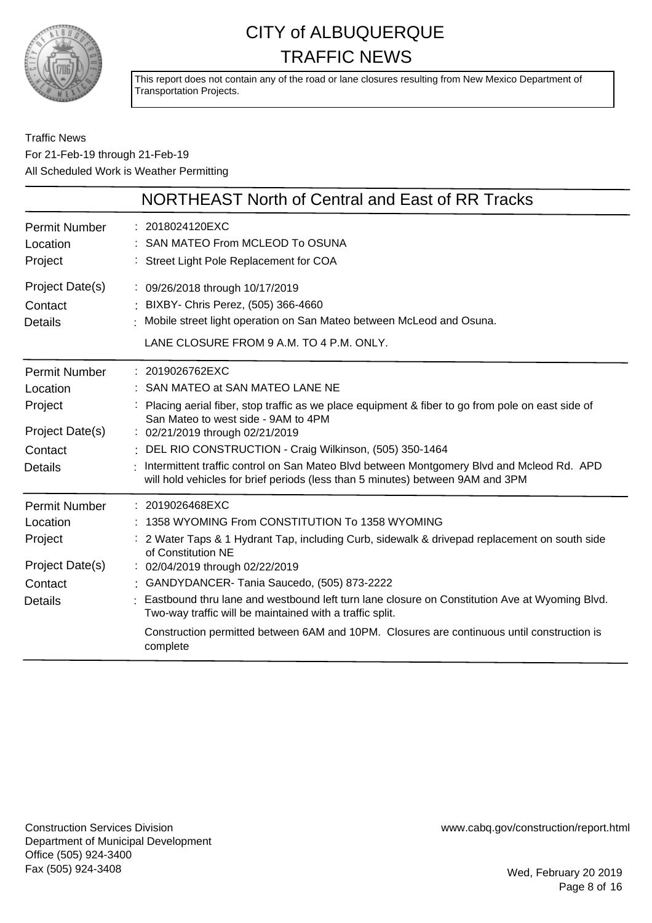

This report does not contain any of the road or lane closures resulting from New Mexico Department of Transportation Projects.

#### Traffic News For 21-Feb-19 through 21-Feb-19 All Scheduled Work is Weather Permitting

|                                                                                             | NORTHEAST North of Central and East of RR Tracks                                                                                                                                                                                                                                                                                                                                                                                                                                                                                                          |
|---------------------------------------------------------------------------------------------|-----------------------------------------------------------------------------------------------------------------------------------------------------------------------------------------------------------------------------------------------------------------------------------------------------------------------------------------------------------------------------------------------------------------------------------------------------------------------------------------------------------------------------------------------------------|
| <b>Permit Number</b><br>Location<br>Project                                                 | : 2018024120EXC<br>: SAN MATEO From MCLEOD To OSUNA<br>: Street Light Pole Replacement for COA                                                                                                                                                                                                                                                                                                                                                                                                                                                            |
| Project Date(s)<br>Contact<br><b>Details</b>                                                | : 09/26/2018 through 10/17/2019<br>: BIXBY- Chris Perez, (505) 366-4660<br>Mobile street light operation on San Mateo between McLeod and Osuna.<br>LANE CLOSURE FROM 9 A.M. TO 4 P.M. ONLY.                                                                                                                                                                                                                                                                                                                                                               |
| <b>Permit Number</b><br>Location<br>Project<br>Project Date(s)<br>Contact<br><b>Details</b> | : 2019026762EXC<br>: SAN MATEO at SAN MATEO LANE NE<br>Placing aerial fiber, stop traffic as we place equipment & fiber to go from pole on east side of<br>San Mateo to west side - 9AM to 4PM<br>: 02/21/2019 through 02/21/2019<br>: DEL RIO CONSTRUCTION - Craig Wilkinson, (505) 350-1464<br>Intermittent traffic control on San Mateo Blvd between Montgomery Blvd and Mcleod Rd. APD<br>will hold vehicles for brief periods (less than 5 minutes) between 9AM and 3PM                                                                              |
| <b>Permit Number</b><br>Location<br>Project<br>Project Date(s)<br>Contact<br><b>Details</b> | $: 2019026468$ EXC<br>: 1358 WYOMING From CONSTITUTION To 1358 WYOMING<br>: 2 Water Taps & 1 Hydrant Tap, including Curb, sidewalk & drivepad replacement on south side<br>of Constitution NE<br>: 02/04/2019 through 02/22/2019<br>: GANDYDANCER- Tania Saucedo, (505) 873-2222<br>: Eastbound thru lane and westbound left turn lane closure on Constitution Ave at Wyoming Blvd.<br>Two-way traffic will be maintained with a traffic split.<br>Construction permitted between 6AM and 10PM. Closures are continuous until construction is<br>complete |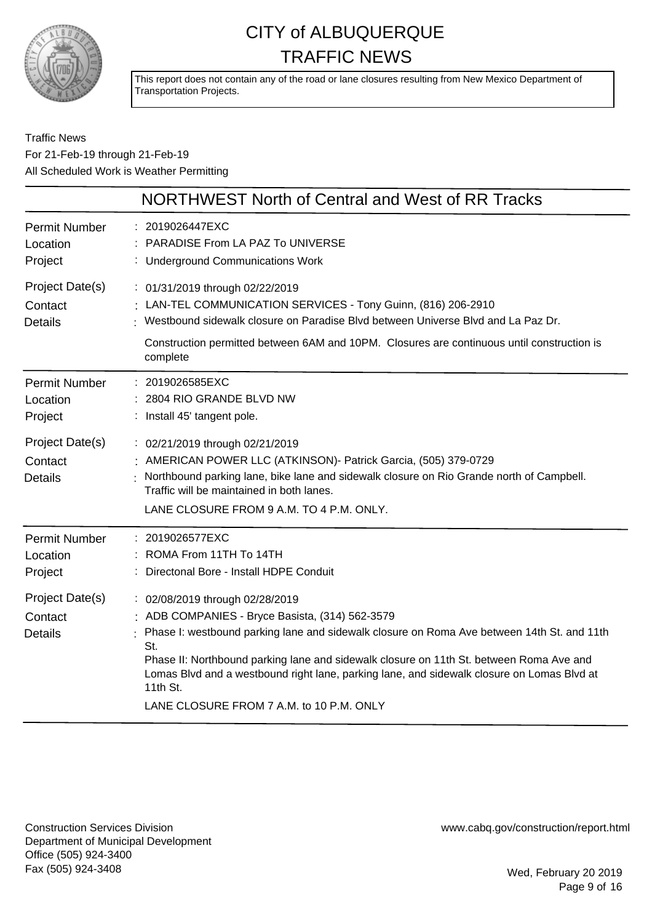

This report does not contain any of the road or lane closures resulting from New Mexico Department of Transportation Projects.

#### Traffic News For 21-Feb-19 through 21-Feb-19 All Scheduled Work is Weather Permitting

|                                              | NORTHWEST North of Central and West of RR Tracks                                                                                                                                                                                                                                                                                                                                                                                           |
|----------------------------------------------|--------------------------------------------------------------------------------------------------------------------------------------------------------------------------------------------------------------------------------------------------------------------------------------------------------------------------------------------------------------------------------------------------------------------------------------------|
| <b>Permit Number</b><br>Location<br>Project  | : 2019026447EXC<br>: PARADISE From LA PAZ To UNIVERSE<br>: Underground Communications Work                                                                                                                                                                                                                                                                                                                                                 |
| Project Date(s)<br>Contact<br><b>Details</b> | : 01/31/2019 through 02/22/2019<br>: LAN-TEL COMMUNICATION SERVICES - Tony Guinn, (816) 206-2910<br>: Westbound sidewalk closure on Paradise Blvd between Universe Blvd and La Paz Dr.<br>Construction permitted between 6AM and 10PM. Closures are continuous until construction is<br>complete                                                                                                                                           |
| <b>Permit Number</b><br>Location<br>Project  | : 2019026585EXC<br>: 2804 RIO GRANDE BLVD NW<br>: Install 45' tangent pole.                                                                                                                                                                                                                                                                                                                                                                |
| Project Date(s)<br>Contact<br><b>Details</b> | : 02/21/2019 through 02/21/2019<br>: AMERICAN POWER LLC (ATKINSON) - Patrick Garcia, (505) 379-0729<br>: Northbound parking lane, bike lane and sidewalk closure on Rio Grande north of Campbell.<br>Traffic will be maintained in both lanes.<br>LANE CLOSURE FROM 9 A.M. TO 4 P.M. ONLY.                                                                                                                                                 |
| <b>Permit Number</b><br>Location<br>Project  | : 2019026577EXC<br>: ROMA From 11TH To 14TH<br>Directonal Bore - Install HDPE Conduit                                                                                                                                                                                                                                                                                                                                                      |
| Project Date(s)<br>Contact<br><b>Details</b> | : 02/08/2019 through 02/28/2019<br>: ADB COMPANIES - Bryce Basista, (314) 562-3579<br>: Phase I: westbound parking lane and sidewalk closure on Roma Ave between 14th St. and 11th<br>St.<br>Phase II: Northbound parking lane and sidewalk closure on 11th St. between Roma Ave and<br>Lomas Blvd and a westbound right lane, parking lane, and sidewalk closure on Lomas Blvd at<br>11th St.<br>LANE CLOSURE FROM 7 A.M. to 10 P.M. ONLY |

Construction Services Division Department of Municipal Development Office (505) 924-3400 Fax (505) 924-3408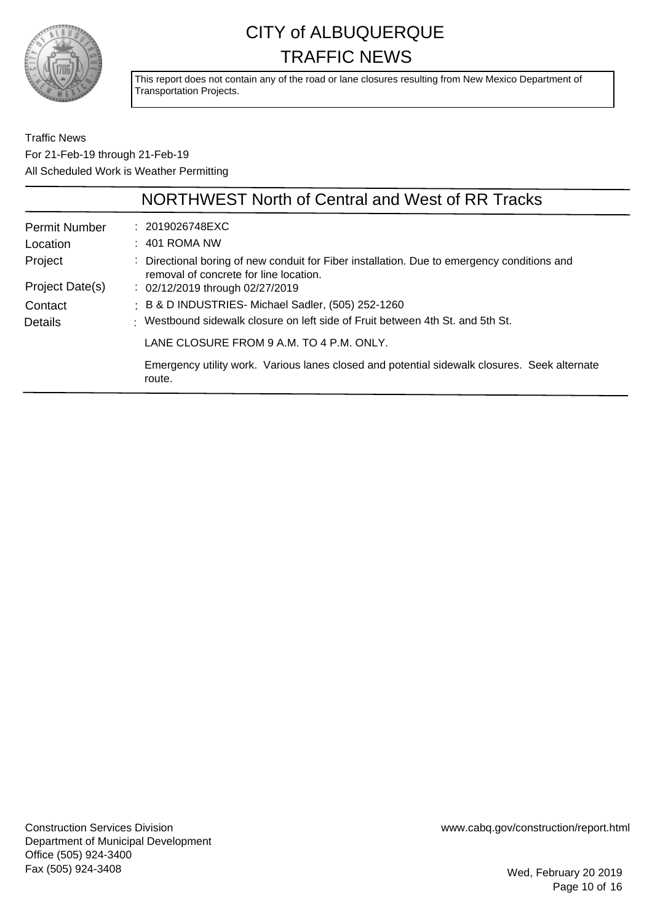

This report does not contain any of the road or lane closures resulting from New Mexico Department of Transportation Projects.

Traffic News For 21-Feb-19 through 21-Feb-19 All Scheduled Work is Weather Permitting

|                      | NORTHWEST North of Central and West of RR Tracks                                                                                      |
|----------------------|---------------------------------------------------------------------------------------------------------------------------------------|
| <b>Permit Number</b> | : 2019026748EXC                                                                                                                       |
| Location             | $: 401$ ROMA NW                                                                                                                       |
| Project              | : Directional boring of new conduit for Fiber installation. Due to emergency conditions and<br>removal of concrete for line location. |
| Project Date(s)      | $\therefore$ 02/12/2019 through 02/27/2019                                                                                            |
| Contact              | : B & D INDUSTRIES- Michael Sadler, (505) 252-1260                                                                                    |
| Details              | : Westbound sidewalk closure on left side of Fruit between 4th St. and 5th St.                                                        |
|                      | LANE CLOSURE FROM 9 A.M. TO 4 P.M. ONLY.                                                                                              |
|                      | Emergency utility work. Various lanes closed and potential sidewalk closures. Seek alternate<br>route.                                |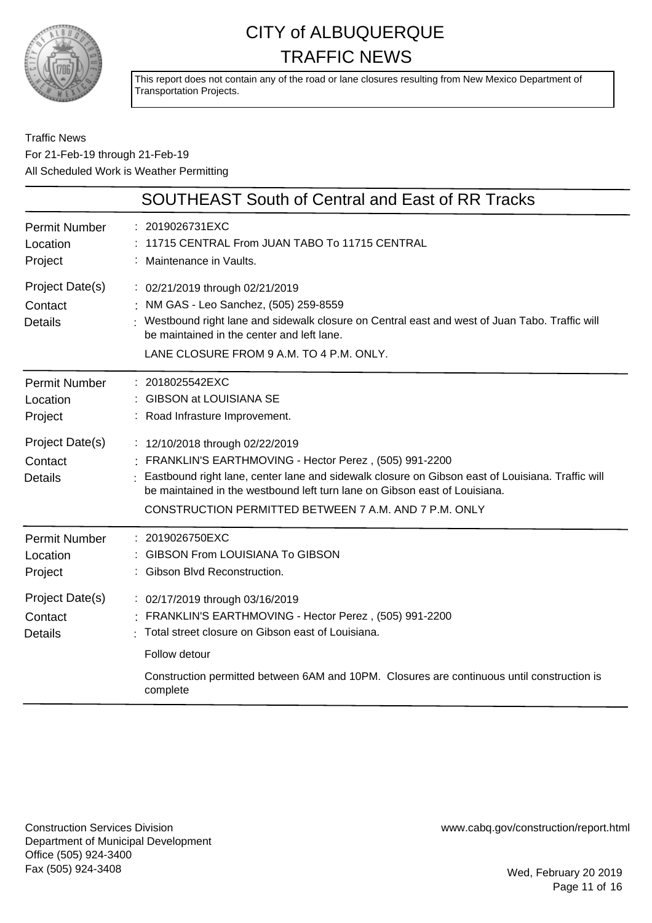

This report does not contain any of the road or lane closures resulting from New Mexico Department of Transportation Projects.

#### Traffic News For 21-Feb-19 through 21-Feb-19 All Scheduled Work is Weather Permitting

|                                              | SOUTHEAST South of Central and East of RR Tracks                                                                                                                                                                                                                                                                                    |
|----------------------------------------------|-------------------------------------------------------------------------------------------------------------------------------------------------------------------------------------------------------------------------------------------------------------------------------------------------------------------------------------|
| <b>Permit Number</b><br>Location<br>Project  | : 2019026731EXC<br>11715 CENTRAL From JUAN TABO To 11715 CENTRAL<br>: Maintenance in Vaults.                                                                                                                                                                                                                                        |
| Project Date(s)<br>Contact<br><b>Details</b> | : 02/21/2019 through 02/21/2019<br>: NM GAS - Leo Sanchez, (505) 259-8559<br>: Westbound right lane and sidewalk closure on Central east and west of Juan Tabo. Traffic will<br>be maintained in the center and left lane.<br>LANE CLOSURE FROM 9 A.M. TO 4 P.M. ONLY.                                                              |
| <b>Permit Number</b><br>Location<br>Project  | : 2018025542EXC<br>: GIBSON at LOUISIANA SE<br>: Road Infrasture Improvement.                                                                                                                                                                                                                                                       |
| Project Date(s)<br>Contact<br>Details        | : 12/10/2018 through 02/22/2019<br>FRANKLIN'S EARTHMOVING - Hector Perez, (505) 991-2200<br>Eastbound right lane, center lane and sidewalk closure on Gibson east of Louisiana. Traffic will<br>be maintained in the westbound left turn lane on Gibson east of Louisiana.<br>CONSTRUCTION PERMITTED BETWEEN 7 A.M. AND 7 P.M. ONLY |
| <b>Permit Number</b><br>Location<br>Project  | 2019026750EXC<br><b>GIBSON From LOUISIANA To GIBSON</b><br>: Gibson Blvd Reconstruction.                                                                                                                                                                                                                                            |
| Project Date(s)<br>Contact<br><b>Details</b> | : 02/17/2019 through 03/16/2019<br>: FRANKLIN'S EARTHMOVING - Hector Perez, (505) 991-2200<br>Total street closure on Gibson east of Louisiana.<br>Follow detour                                                                                                                                                                    |
|                                              | Construction permitted between 6AM and 10PM. Closures are continuous until construction is<br>complete                                                                                                                                                                                                                              |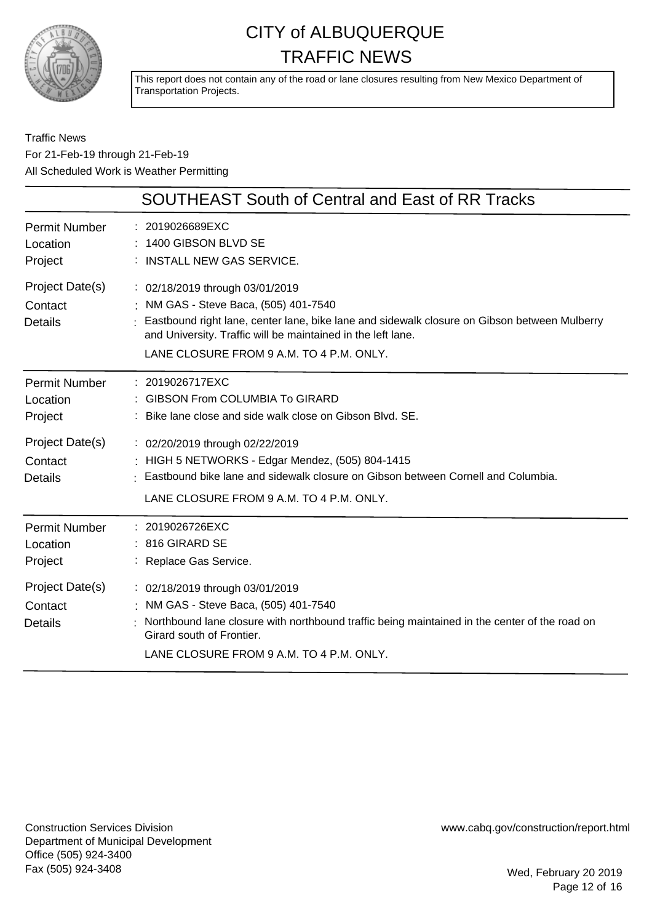

This report does not contain any of the road or lane closures resulting from New Mexico Department of Transportation Projects.

Traffic News For 21-Feb-19 through 21-Feb-19 All Scheduled Work is Weather Permitting

|                                              | <b>SOUTHEAST South of Central and East of RR Tracks</b>                                                                                                                                                                                                                              |
|----------------------------------------------|--------------------------------------------------------------------------------------------------------------------------------------------------------------------------------------------------------------------------------------------------------------------------------------|
| <b>Permit Number</b><br>Location<br>Project  | : 2019026689EXC<br>: 1400 GIBSON BLVD SE<br>: INSTALL NEW GAS SERVICE.                                                                                                                                                                                                               |
| Project Date(s)<br>Contact<br><b>Details</b> | : 02/18/2019 through 03/01/2019<br>: NM GAS - Steve Baca, (505) 401-7540<br>Eastbound right lane, center lane, bike lane and sidewalk closure on Gibson between Mulberry<br>and University. Traffic will be maintained in the left lane.<br>LANE CLOSURE FROM 9 A.M. TO 4 P.M. ONLY. |
| <b>Permit Number</b><br>Location<br>Project  | : 2019026717EXC<br>: GIBSON From COLUMBIA To GIRARD<br>: Bike lane close and side walk close on Gibson Blvd. SE.                                                                                                                                                                     |
| Project Date(s)<br>Contact<br><b>Details</b> | : 02/20/2019 through 02/22/2019<br>: HIGH 5 NETWORKS - Edgar Mendez, (505) 804-1415<br>Eastbound bike lane and sidewalk closure on Gibson between Cornell and Columbia.<br>LANE CLOSURE FROM 9 A.M. TO 4 P.M. ONLY.                                                                  |
| <b>Permit Number</b><br>Location<br>Project  | : 2019026726EXC<br>: 816 GIRARD SE<br>: Replace Gas Service.                                                                                                                                                                                                                         |
| Project Date(s)<br>Contact<br><b>Details</b> | : 02/18/2019 through 03/01/2019<br>: NM GAS - Steve Baca, (505) 401-7540<br>Northbound lane closure with northbound traffic being maintained in the center of the road on<br>Girard south of Frontier.<br>LANE CLOSURE FROM 9 A.M. TO 4 P.M. ONLY.                                   |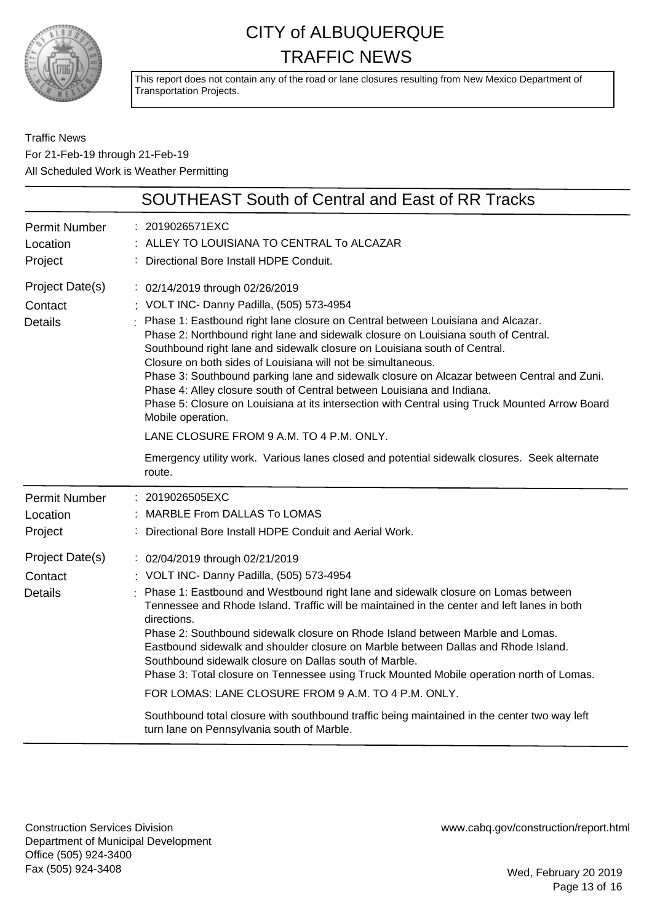

This report does not contain any of the road or lane closures resulting from New Mexico Department of Transportation Projects.

Traffic News For 21-Feb-19 through 21-Feb-19 All Scheduled Work is Weather Permitting

| <b>SOUTHEAST South of Central and East of RR Tracks</b>                                                                                                                                                                                                                                                                                                                                                                                                                                                                                                                                                                                                                                                                                                              |  |  |
|----------------------------------------------------------------------------------------------------------------------------------------------------------------------------------------------------------------------------------------------------------------------------------------------------------------------------------------------------------------------------------------------------------------------------------------------------------------------------------------------------------------------------------------------------------------------------------------------------------------------------------------------------------------------------------------------------------------------------------------------------------------------|--|--|
| : 2019026571EXC<br>ALLEY TO LOUISIANA TO CENTRAL To ALCAZAR<br>Directional Bore Install HDPE Conduit.                                                                                                                                                                                                                                                                                                                                                                                                                                                                                                                                                                                                                                                                |  |  |
| : 02/14/2019 through 02/26/2019<br>: VOLT INC- Danny Padilla, (505) 573-4954<br>: Phase 1: Eastbound right lane closure on Central between Louisiana and Alcazar.<br>Phase 2: Northbound right lane and sidewalk closure on Louisiana south of Central.<br>Southbound right lane and sidewalk closure on Louisiana south of Central.<br>Closure on both sides of Louisiana will not be simultaneous.<br>Phase 3: Southbound parking lane and sidewalk closure on Alcazar between Central and Zuni.<br>Phase 4: Alley closure south of Central between Louisiana and Indiana.<br>Phase 5: Closure on Louisiana at its intersection with Central using Truck Mounted Arrow Board<br>Mobile operation.<br>LANE CLOSURE FROM 9 A.M. TO 4 P.M. ONLY.                      |  |  |
| Emergency utility work. Various lanes closed and potential sidewalk closures. Seek alternate<br>route.                                                                                                                                                                                                                                                                                                                                                                                                                                                                                                                                                                                                                                                               |  |  |
| : 2019026505EXC<br>MARBLE From DALLAS To LOMAS<br>: Directional Bore Install HDPE Conduit and Aerial Work.                                                                                                                                                                                                                                                                                                                                                                                                                                                                                                                                                                                                                                                           |  |  |
| : 02/04/2019 through 02/21/2019<br>: VOLT INC- Danny Padilla, (505) 573-4954<br>Phase 1: Eastbound and Westbound right lane and sidewalk closure on Lomas between<br>Tennessee and Rhode Island. Traffic will be maintained in the center and left lanes in both<br>directions.<br>Phase 2: Southbound sidewalk closure on Rhode Island between Marble and Lomas.<br>Eastbound sidewalk and shoulder closure on Marble between Dallas and Rhode Island.<br>Southbound sidewalk closure on Dallas south of Marble.<br>Phase 3: Total closure on Tennessee using Truck Mounted Mobile operation north of Lomas.<br>FOR LOMAS: LANE CLOSURE FROM 9 A.M. TO 4 P.M. ONLY.<br>Southbound total closure with southbound traffic being maintained in the center two way left |  |  |
|                                                                                                                                                                                                                                                                                                                                                                                                                                                                                                                                                                                                                                                                                                                                                                      |  |  |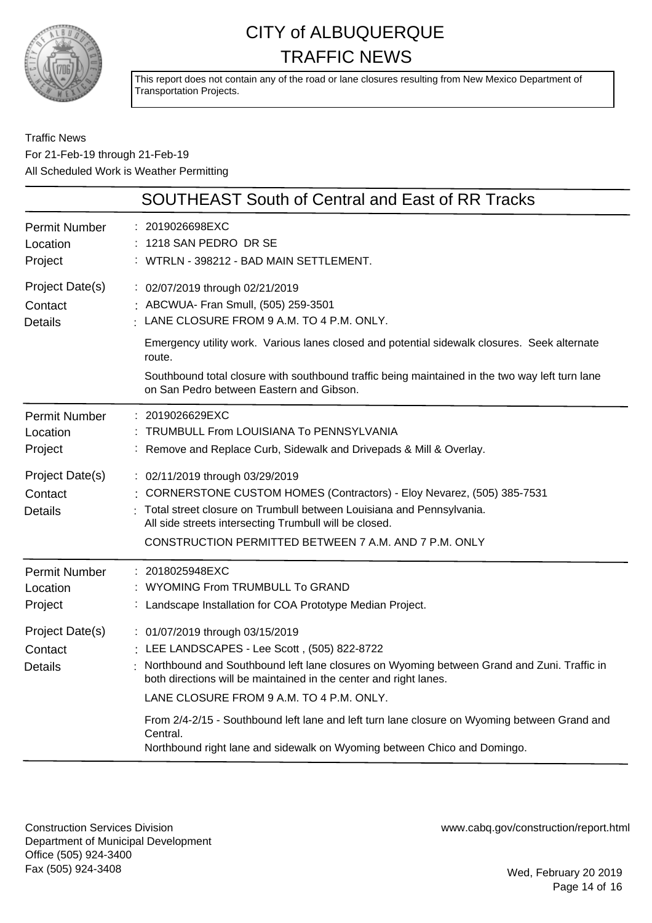

This report does not contain any of the road or lane closures resulting from New Mexico Department of Transportation Projects.

Traffic News For 21-Feb-19 through 21-Feb-19 All Scheduled Work is Weather Permitting

|                                                                                             | <b>SOUTHEAST South of Central and East of RR Tracks</b>                                                                                                                                                                                                                                                                                                                                                                                      |
|---------------------------------------------------------------------------------------------|----------------------------------------------------------------------------------------------------------------------------------------------------------------------------------------------------------------------------------------------------------------------------------------------------------------------------------------------------------------------------------------------------------------------------------------------|
| <b>Permit Number</b><br>Location<br>Project                                                 | : 2019026698EXC<br>: 1218 SAN PEDRO DR SE<br>: WTRLN - 398212 - BAD MAIN SETTLEMENT.                                                                                                                                                                                                                                                                                                                                                         |
| Project Date(s)<br>Contact<br><b>Details</b>                                                | : 02/07/2019 through 02/21/2019<br>: ABCWUA- Fran Smull, (505) 259-3501<br>LANE CLOSURE FROM 9 A.M. TO 4 P.M. ONLY.<br>Emergency utility work. Various lanes closed and potential sidewalk closures. Seek alternate<br>route.<br>Southbound total closure with southbound traffic being maintained in the two way left turn lane<br>on San Pedro between Eastern and Gibson.                                                                 |
| <b>Permit Number</b><br>Location<br>Project<br>Project Date(s)<br>Contact<br><b>Details</b> | : 2019026629EXC<br>: TRUMBULL From LOUISIANA To PENNSYLVANIA<br>: Remove and Replace Curb, Sidewalk and Drivepads & Mill & Overlay.<br>: 02/11/2019 through 03/29/2019<br>: CORNERSTONE CUSTOM HOMES (Contractors) - Eloy Nevarez, (505) 385-7531<br>Total street closure on Trumbull between Louisiana and Pennsylvania.<br>All side streets intersecting Trumbull will be closed.<br>CONSTRUCTION PERMITTED BETWEEN 7 A.M. AND 7 P.M. ONLY |
| <b>Permit Number</b><br>Location<br>Project<br>Project Date(s)<br>Contact<br><b>Details</b> | : 2018025948EXC<br>: WYOMING From TRUMBULL To GRAND<br>: Landscape Installation for COA Prototype Median Project.<br>: 01/07/2019 through 03/15/2019<br>: LEE LANDSCAPES - Lee Scott, (505) 822-8722<br>: Northbound and Southbound left lane closures on Wyoming between Grand and Zuni. Traffic in<br>both directions will be maintained in the center and right lanes.<br>LANE CLOSURE FROM 9 A.M. TO 4 P.M. ONLY.                        |
|                                                                                             | From 2/4-2/15 - Southbound left lane and left turn lane closure on Wyoming between Grand and<br>Central.<br>Northbound right lane and sidewalk on Wyoming between Chico and Domingo.                                                                                                                                                                                                                                                         |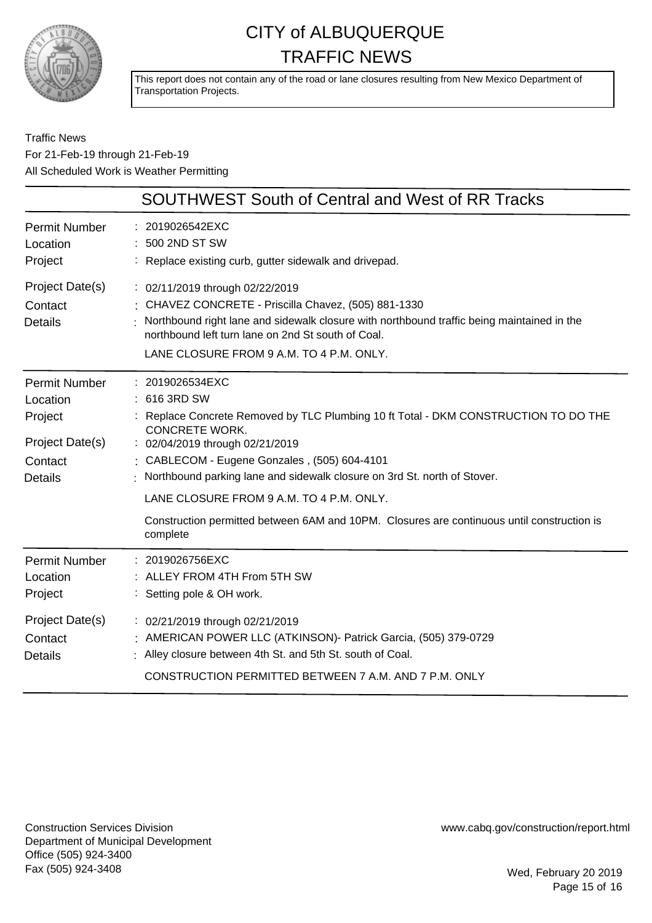

This report does not contain any of the road or lane closures resulting from New Mexico Department of Transportation Projects.

#### Traffic News For 21-Feb-19 through 21-Feb-19 All Scheduled Work is Weather Permitting

|                                                                                             | SOUTHWEST South of Central and West of RR Tracks                                                                                                                                                                                                                                                                                                                                                                                                                   |
|---------------------------------------------------------------------------------------------|--------------------------------------------------------------------------------------------------------------------------------------------------------------------------------------------------------------------------------------------------------------------------------------------------------------------------------------------------------------------------------------------------------------------------------------------------------------------|
| <b>Permit Number</b><br>Location<br>Project                                                 | : 2019026542EXC<br>500 2ND ST SW<br>: Replace existing curb, gutter sidewalk and drivepad.                                                                                                                                                                                                                                                                                                                                                                         |
| Project Date(s)<br>Contact<br><b>Details</b>                                                | : 02/11/2019 through 02/22/2019<br>: CHAVEZ CONCRETE - Priscilla Chavez, (505) 881-1330<br>Northbound right lane and sidewalk closure with northbound traffic being maintained in the<br>northbound left turn lane on 2nd St south of Coal.<br>LANE CLOSURE FROM 9 A.M. TO 4 P.M. ONLY.                                                                                                                                                                            |
| <b>Permit Number</b><br>Location<br>Project<br>Project Date(s)<br>Contact<br><b>Details</b> | : 2019026534EXC<br>: 616 3RD SW<br>: Replace Concrete Removed by TLC Plumbing 10 ft Total - DKM CONSTRUCTION TO DO THE<br><b>CONCRETE WORK.</b><br>: 02/04/2019 through 02/21/2019<br>CABLECOM - Eugene Gonzales, (505) 604-4101<br>Northbound parking lane and sidewalk closure on 3rd St. north of Stover.<br>LANE CLOSURE FROM 9 A.M. TO 4 P.M. ONLY.<br>Construction permitted between 6AM and 10PM. Closures are continuous until construction is<br>complete |
| <b>Permit Number</b><br>Location<br>Project                                                 | : 2019026756EXC<br>: ALLEY FROM 4TH From 5TH SW<br>: Setting pole & OH work.                                                                                                                                                                                                                                                                                                                                                                                       |
| Project Date(s)<br>Contact<br><b>Details</b>                                                | : 02/21/2019 through 02/21/2019<br>: AMERICAN POWER LLC (ATKINSON) - Patrick Garcia, (505) 379-0729<br>: Alley closure between 4th St. and 5th St. south of Coal.<br>CONSTRUCTION PERMITTED BETWEEN 7 A.M. AND 7 P.M. ONLY                                                                                                                                                                                                                                         |